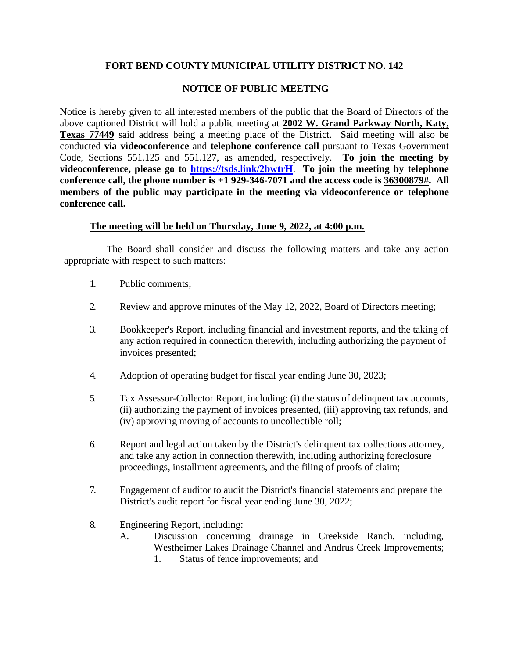## **FORT BEND COUNTY MUNICIPAL UTILITY DISTRICT NO. 142**

## **NOTICE OF PUBLIC MEETING**

Notice is hereby given to all interested members of the public that the Board of Directors of the above captioned District will hold a public meeting at **2002 W. Grand Parkway North, Katy, Texas 77449** said address being a meeting place of the District. Said meeting will also be conducted **via videoconference** and **telephone conference call** pursuant to Texas Government Code, Sections 551.125 and 551.127, as amended, respectively. **To join the meeting by videoconference, please go to <https://tsds.link/2bwtrH>**. **To join the meeting by telephone conference call, the phone number is +1 929-346-7071 and the access code is 36300879#. All members of the public may participate in the meeting via videoconference or telephone conference call.**

## **The meeting will be held on Thursday, June 9, 2022, at 4:00 p.m.**

The Board shall consider and discuss the following matters and take any action appropriate with respect to such matters:

- 1. Public comments;
- 2. Review and approve minutes of the May 12, 2022, Board of Directors meeting;
- 3. Bookkeeper's Report, including financial and investment reports, and the taking of any action required in connection therewith, including authorizing the payment of invoices presented;
- 4. Adoption of operating budget for fiscal year ending June 30, 2023;
- 5. Tax Assessor-Collector Report, including: (i) the status of delinquent tax accounts, (ii) authorizing the payment of invoices presented, (iii) approving tax refunds, and (iv) approving moving of accounts to uncollectible roll;
- 6. Report and legal action taken by the District's delinquent tax collections attorney, and take any action in connection therewith, including authorizing foreclosure proceedings, installment agreements, and the filing of proofs of claim;
- 7. Engagement of auditor to audit the District's financial statements and prepare the District's audit report for fiscal year ending June 30, 2022;
- 8. Engineering Report, including:
	- A. Discussion concerning drainage in Creekside Ranch, including, Westheimer Lakes Drainage Channel and Andrus Creek Improvements; 1. Status of fence improvements; and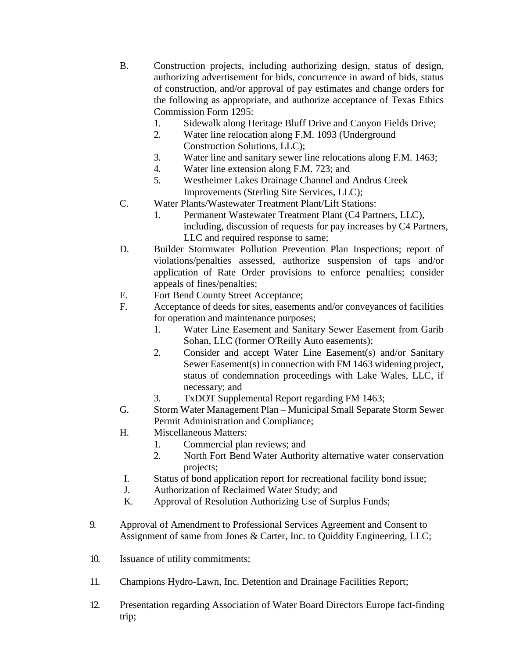- B. Construction projects, including authorizing design, status of design, authorizing advertisement for bids, concurrence in award of bids, status of construction, and/or approval of pay estimates and change orders for the following as appropriate, and authorize acceptance of Texas Ethics Commission Form 1295:
	- 1. Sidewalk along Heritage Bluff Drive and Canyon Fields Drive;
	- 2. Water line relocation along F.M. 1093 (Underground Construction Solutions, LLC);
	- 3. Water line and sanitary sewer line relocations along F.M. 1463;
	- 4. Water line extension along F.M. 723; and
	- 5. Westheimer Lakes Drainage Channel and Andrus Creek Improvements (Sterling Site Services, LLC);
- C. Water Plants/Wastewater Treatment Plant/Lift Stations:
	- 1. Permanent Wastewater Treatment Plant (C4 Partners, LLC), including, discussion of requests for pay increases by C4 Partners, LLC and required response to same;
- D. Builder Stormwater Pollution Prevention Plan Inspections; report of violations/penalties assessed, authorize suspension of taps and/or application of Rate Order provisions to enforce penalties; consider appeals of fines/penalties;
- E. Fort Bend County Street Acceptance;
- F. Acceptance of deeds for sites, easements and/or conveyances of facilities for operation and maintenance purposes;
	- 1. Water Line Easement and Sanitary Sewer Easement from Garib Sohan, LLC (former O'Reilly Auto easements);
	- 2. Consider and accept Water Line Easement(s) and/or Sanitary Sewer Easement(s) in connection with FM 1463 widening project, status of condemnation proceedings with Lake Wales, LLC, if necessary; and
	- 3. TxDOT Supplemental Report regarding FM 1463;
- G. Storm Water Management Plan Municipal Small Separate Storm Sewer Permit Administration and Compliance;
- H. Miscellaneous Matters:
	- 1. Commercial plan reviews; and
	- 2. North Fort Bend Water Authority alternative water conservation projects;
- I. Status of bond application report for recreational facility bond issue;
- J. Authorization of Reclaimed Water Study; and
- K. Approval of Resolution Authorizing Use of Surplus Funds;
- 9. Approval of Amendment to Professional Services Agreement and Consent to Assignment of same from Jones & Carter, Inc. to Quiddity Engineering, LLC;
- 10. Issuance of utility commitments;
- 11. Champions Hydro-Lawn, Inc. Detention and Drainage Facilities Report;
- 12. Presentation regarding Association of Water Board Directors Europe fact-finding trip;